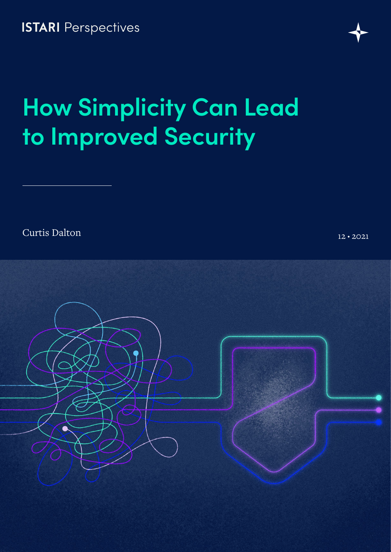**ISTARI** Perspectives

## **How Simplicity Can Lead to Improved Security**

Curtis Dalton 12 • 2021